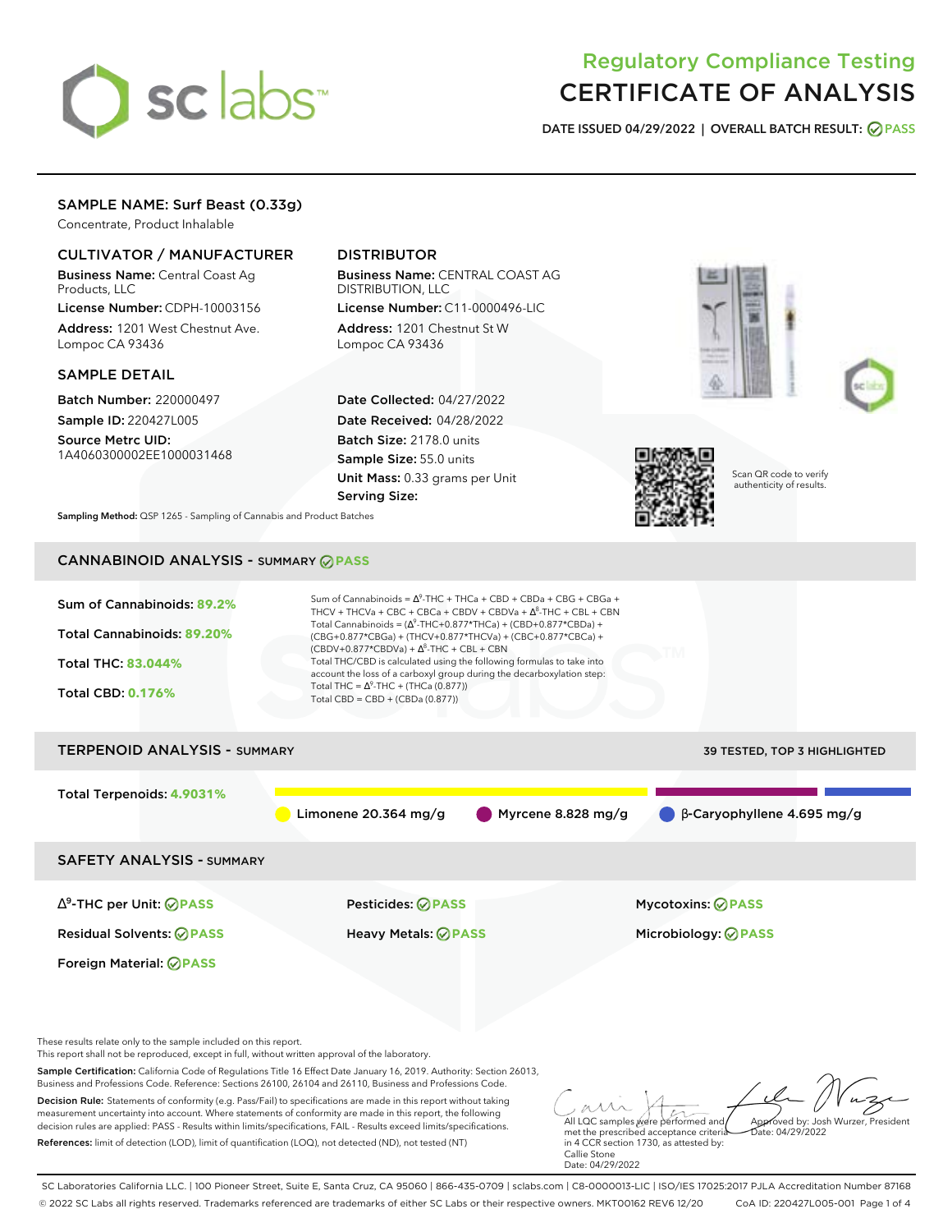# sclabs<sup>\*</sup>

# Regulatory Compliance Testing CERTIFICATE OF ANALYSIS

**DATE ISSUED 04/29/2022 | OVERALL BATCH RESULT: PASS**

# SAMPLE NAME: Surf Beast (0.33g)

Concentrate, Product Inhalable

# CULTIVATOR / MANUFACTURER

Business Name: Central Coast Ag Products, LLC

License Number: CDPH-10003156 Address: 1201 West Chestnut Ave. Lompoc CA 93436

### SAMPLE DETAIL

Batch Number: 220000497 Sample ID: 220427L005

Source Metrc UID: 1A4060300002EE1000031468

# DISTRIBUTOR

Business Name: CENTRAL COAST AG DISTRIBUTION, LLC License Number: C11-0000496-LIC

Address: 1201 Chestnut St W Lompoc CA 93436

Date Collected: 04/27/2022 Date Received: 04/28/2022 Batch Size: 2178.0 units Sample Size: 55.0 units Unit Mass: 0.33 grams per Unit Serving Size:







Scan QR code to verify authenticity of results.

Approved by: Josh Wurzer, President

 $ate: 04/29/2022$ 

**Sampling Method:** QSP 1265 - Sampling of Cannabis and Product Batches

# CANNABINOID ANALYSIS - SUMMARY **PASS**



Decision Rule: Statements of conformity (e.g. Pass/Fail) to specifications are made in this report without taking measurement uncertainty into account. Where statements of conformity are made in this report, the following decision rules are applied: PASS - Results within limits/specifications, FAIL - Results exceed limits/specifications.

References: limit of detection (LOD), limit of quantification (LOQ), not detected (ND), not tested (NT)

All LQC samples were performed and met the prescribed acceptance criteria in 4 CCR section 1730, as attested by: Callie Stone Date: 04/29/2022

SC Laboratories California LLC. | 100 Pioneer Street, Suite E, Santa Cruz, CA 95060 | 866-435-0709 | sclabs.com | C8-0000013-LIC | ISO/IES 17025:2017 PJLA Accreditation Number 87168 © 2022 SC Labs all rights reserved. Trademarks referenced are trademarks of either SC Labs or their respective owners. MKT00162 REV6 12/20 CoA ID: 220427L005-001 Page 1 of 4